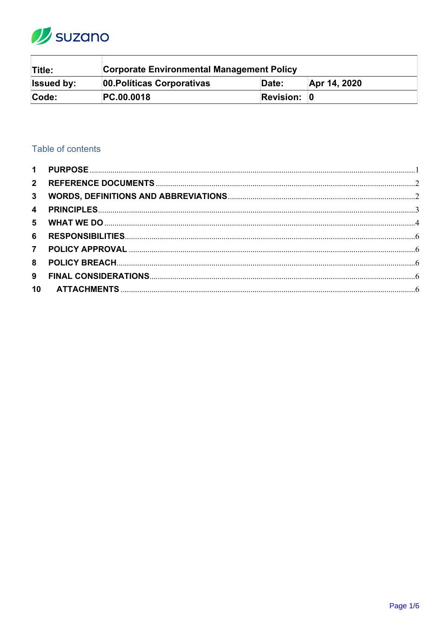

| Title:            | Corporate Environmental Management Policy |             |              |
|-------------------|-------------------------------------------|-------------|--------------|
| <b>Issued by:</b> | 00. Políticas Corporativas                | Date:       | Apr 14, 2020 |
| Code:             | PC.00.0018                                | Revision: 0 |              |

# Table of contents

| 3 <sup>1</sup> |  |
|----------------|--|
|                |  |
|                |  |
| 6              |  |
| 7 <sup>7</sup> |  |
| 8              |  |
| 9              |  |
| 10             |  |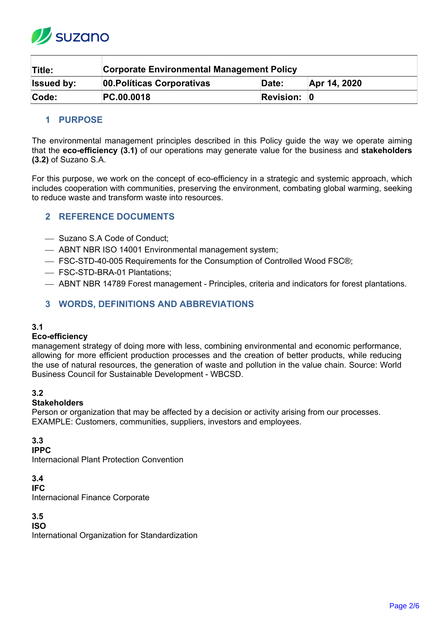

| Title:            | <b>Corporate Environmental Management Policy</b> |                    |              |
|-------------------|--------------------------------------------------|--------------------|--------------|
| <b>Issued by:</b> | 00. Políticas Corporativas                       | Date:              | Apr 14, 2020 |
| Code:             | PC.00.0018                                       | <b>Revision: 0</b> |              |

## <span id="page-1-0"></span>**1 PURPOSE**

The environmental management principles described in this Policy guide the way we operate aiming that the **eco-efficiency (3.1)** of our operations may generate value for the business and **stakeholders (3.2)** of Suzano S.A.

For this purpose, we work on the concept of eco-efficiency in a strategic and systemic approach, which includes cooperation with communities, preserving the environment, combating global warming, seeking to reduce waste and transform waste into resources.

## <span id="page-1-1"></span>**2 REFERENCE DOCUMENTS**

- Suzano S.A Code of Conduct;
- ABNT NBR ISO 14001 Environmental management system;
- FSC-STD-40-005 Requirements for the Consumption of Controlled Wood FSC®;
- FSC-STD-BRA-01 Plantations;
- ABNT NBR 14789 Forest management Principles, criteria and indicators for forest plantations.

## <span id="page-1-2"></span>**3 WORDS, DEFINITIONS AND ABBREVIATIONS**

### **3.1**

### **Eco-efficiency**

management strategy of doing more with less, combining environmental and economic performance, allowing for more efficient production processes and the creation of better products, while reducing the use of natural resources, the generation of waste and pollution in the value chain. Source: World Business Council for Sustainable Development - WBCSD.

### **3.2**

### **Stakeholders**

Person or organization that may be affected by a decision or activity arising from our processes. EXAMPLE: Customers, communities, suppliers, investors and employees.

### **3.3**

**IPPC** 

Internacional Plant Protection Convention

**3.4**

#### **IFC**

Internacional Finance Corporate

**3.5**

### **ISO**

International Organization for Standardization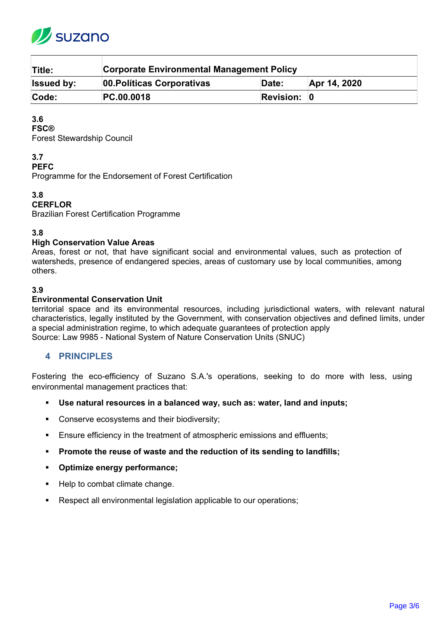

| Title:            | <b>Corporate Environmental Management Policy</b> |                    |              |  |
|-------------------|--------------------------------------------------|--------------------|--------------|--|
| <b>Issued by:</b> | 00. Políticas Corporativas                       | Date:              | Apr 14, 2020 |  |
| Code:             | PC.00.0018                                       | <b>Revision: 0</b> |              |  |

## **3.6**

**FSC®** 

Forest Stewardship Council

## **3.7**

**PEFC**

Programme for the Endorsement of Forest Certification

## **3.8**

## **CERFLOR**

Brazilian Forest Certification Programme

### **3.8**

### **High Conservation Value Areas**

Areas, forest or not, that have significant social and environmental values, such as protection of watersheds, presence of endangered species, areas of customary use by local communities, among others.

### **3.9**

### **Environmental Conservation Unit**

territorial space and its environmental resources, including jurisdictional waters, with relevant natural characteristics, legally instituted by the Government, with conservation objectives and defined limits, under a special administration regime, to which adequate guarantees of protection apply Source: Law 9985 - National System of Nature Conservation Units (SNUC)

## <span id="page-2-0"></span>**4 PRINCIPLES**

Fostering the eco-efficiency of Suzano S.A.'s operations, seeking to do more with less, using environmental management practices that:

- **Use natural resources in a balanced way, such as: water, land and inputs;**
- **Conserve ecosystems and their biodiversity;**
- Ensure efficiency in the treatment of atmospheric emissions and effluents;
- **Promote the reuse of waste and the reduction of its sending to landfills;**
- **Optimize energy performance;**
- Help to combat climate change.
- Respect all environmental legislation applicable to our operations: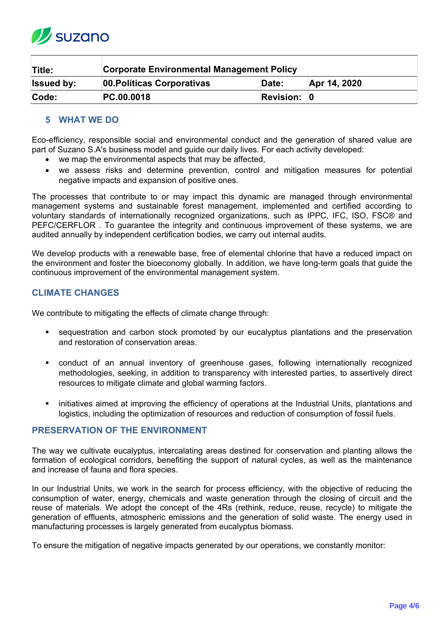

| Title:            | Corporate Environmental Management Policy |                    |              |
|-------------------|-------------------------------------------|--------------------|--------------|
| <b>Issued by:</b> | 00. Políticas Corporativas                | Date:              | Apr 14, 2020 |
| Code:             | PC.00.0018                                | <b>Revision: 0</b> |              |

## <span id="page-3-0"></span>**5 WHAT WE DO**

Eco-efficiency, responsible social and environmental conduct and the generation of shared value are part of Suzano S.A's business model and guide our daily lives. For each activity developed:

- we map the environmental aspects that may be affected,
- we assess risks and determine prevention, control and mitigation measures for potential negative impacts and expansion of positive ones.

The processes that contribute to or may impact this dynamic are managed through environmental management systems and sustainable forest management, implemented and certified according to voluntary standards of internationally recognized organizations, such as IPPC, IFC, ISO, FSC® and PEFC/CERFLOR . To guarantee the integrity and continuous improvement of these systems, we are audited annually by independent certification bodies, we carry out internal audits.

We develop products with a renewable base, free of elemental chlorine that have a reduced impact on the environment and foster the bioeconomy globally. In addition, we have long-term goals that guide the continuous improvement of the environmental management system.

## **CLIMATE CHANGES**

We contribute to mitigating the effects of climate change through:

- sequestration and carbon stock promoted by our eucalyptus plantations and the preservation and restoration of conservation areas.
- conduct of an annual inventory of greenhouse gases, following internationally recognized methodologies, seeking, in addition to transparency with interested parties, to assertively direct resources to mitigate climate and global warming factors.
- initiatives aimed at improving the efficiency of operations at the Industrial Units, plantations and logistics, including the optimization of resources and reduction of consumption of fossil fuels.

## **PRESERVATION OF THE ENVIRONMENT**

The way we cultivate eucalyptus, intercalating areas destined for conservation and planting allows the formation of ecological corridors, benefiting the support of natural cycles, as well as the maintenance and increase of fauna and flora species.

In our Industrial Units, we work in the search for process efficiency, with the objective of reducing the consumption of water, energy, chemicals and waste generation through the closing of circuit and the reuse of materials. We adopt the concept of the 4Rs (rethink, reduce, reuse, recycle) to mitigate the generation of effluents, atmospheric emissions and the generation of solid waste. The energy used in manufacturing processes is largely generated from eucalyptus biomass.

To ensure the mitigation of negative impacts generated by our operations, we constantly monitor: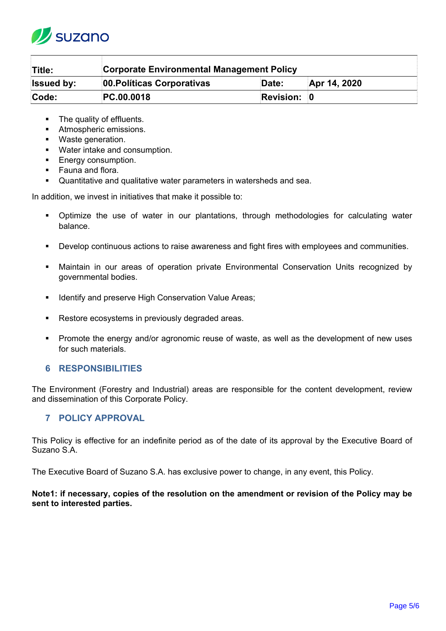

| Title:            | <b>Corporate Environmental Management Policy</b> |             |              |
|-------------------|--------------------------------------------------|-------------|--------------|
| <b>Issued by:</b> | 00. Políticas Corporativas                       | Date:       | Apr 14, 2020 |
| Code:             | PC.00.0018                                       | Revision: 0 |              |

- The quality of effluents.
- **Atmospheric emissions.**
- **Waste generation.**
- Water intake and consumption.
- **Energy consumption.**
- **Fauna and flora.**
- **Quantitative and qualitative water parameters in watersheds and sea.**

In addition, we invest in initiatives that make it possible to:

- Optimize the use of water in our plantations, through methodologies for calculating water balance.
- Develop continuous actions to raise awareness and fight fires with employees and communities.
- Maintain in our areas of operation private Environmental Conservation Units recognized by governmental bodies.
- **IDENTIFY And preserve High Conservation Value Areas;**
- Restore ecosystems in previously degraded areas.
- Promote the energy and/or agronomic reuse of waste, as well as the development of new uses for such materials.

## <span id="page-4-0"></span>**6 RESPONSIBILITIES**

The Environment (Forestry and Industrial) areas are responsible for the content development, review and dissemination of this Corporate Policy.

# <span id="page-4-1"></span>**7 POLICY APPROVAL**

This Policy is effective for an indefinite period as of the date of its approval by the Executive Board of Suzano S.A.

The Executive Board of Suzano S.A. has exclusive power to change, in any event, this Policy.

### **Note1: if necessary, copies of the resolution on the amendment or revision of the Policy may be sent to interested parties.**